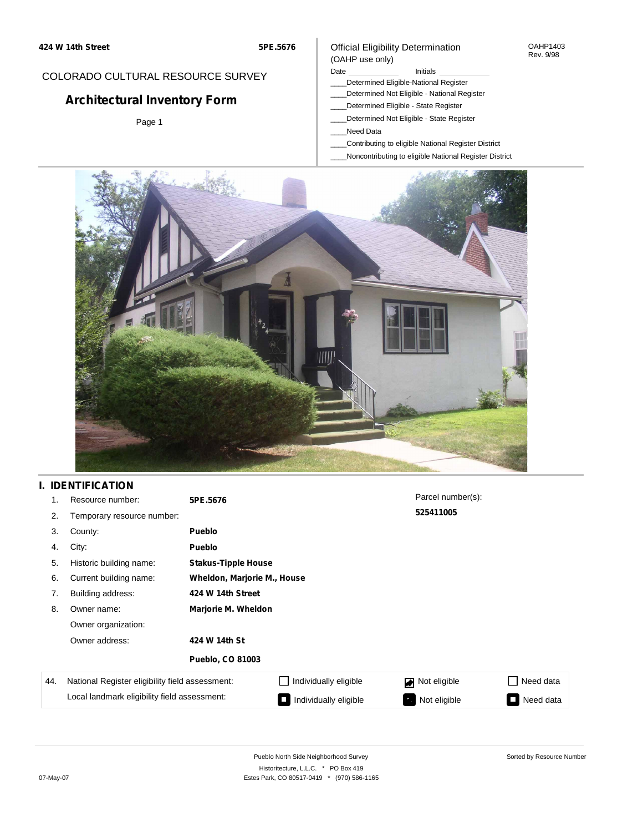#### OAHP1403 Rev. 9/98

## COLORADO CULTURAL RESOURCE SURVEY

# **Architectural Inventory Form**

Page 1

### (OAHP use only) Date **Initials** Initials

Official Eligibility Determination

- \_\_\_\_Determined Eligible-National Register
- \_\_\_\_Determined Not Eligible National Register
- \_\_\_\_Determined Eligible State Register
- \_\_\_\_Determined Not Eligible State Register
- \_\_\_\_Need Data
- \_\_\_\_Contributing to eligible National Register District
- \_\_\_\_Noncontributing to eligible National Register District



## **I. IDENTIFICATION**

| 1.  | Resource number:                                | 5PE.5676                |                             | Parcel number(s): |                 |  |  |  |  |  |
|-----|-------------------------------------------------|-------------------------|-----------------------------|-------------------|-----------------|--|--|--|--|--|
| 2.  | Temporary resource number:                      |                         |                             | 525411005         |                 |  |  |  |  |  |
| 3.  | County:                                         | <b>Pueblo</b>           |                             |                   |                 |  |  |  |  |  |
| 4.  | City:                                           | <b>Pueblo</b>           |                             |                   |                 |  |  |  |  |  |
| 5.  | Historic building name:                         |                         | <b>Stakus-Tipple House</b>  |                   |                 |  |  |  |  |  |
| 6.  | Current building name:                          |                         | Wheldon, Marjorie M., House |                   |                 |  |  |  |  |  |
| 7.  | Building address:                               | 424 W 14th Street       |                             |                   |                 |  |  |  |  |  |
| 8.  | Owner name:                                     | Marjorie M. Wheldon     |                             |                   |                 |  |  |  |  |  |
|     | Owner organization:                             |                         |                             |                   |                 |  |  |  |  |  |
|     | Owner address:                                  | 424 W 14th St           |                             |                   |                 |  |  |  |  |  |
|     |                                                 | <b>Pueblo, CO 81003</b> |                             |                   |                 |  |  |  |  |  |
| 44. | National Register eligibility field assessment: |                         | Individually eligible       | Not eligible      | □ Need data     |  |  |  |  |  |
|     | Local landmark eligibility field assessment:    |                         | Individually eligible       | Not eligible      | Need data<br>I. |  |  |  |  |  |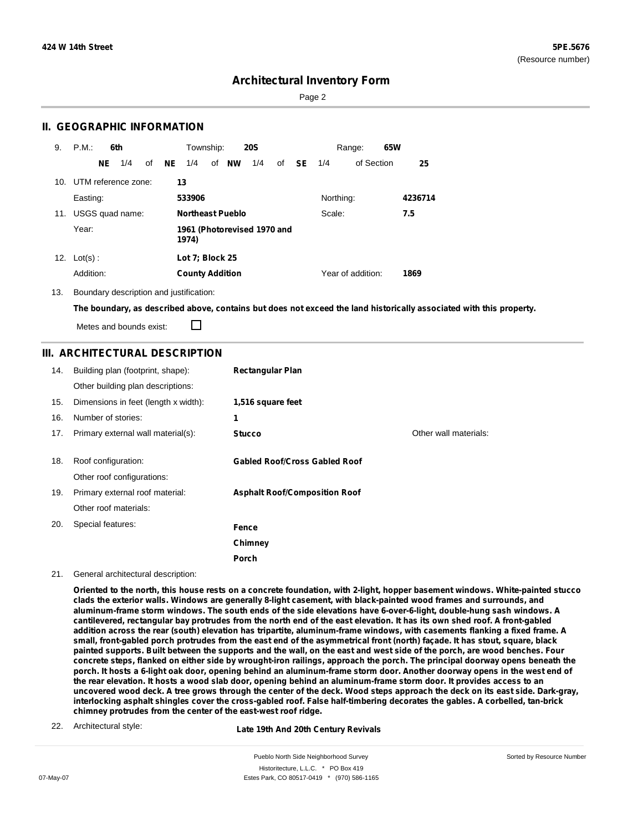Page 2

## **II. GEOGRAPHIC INFORMATION**

| 9.  | P.M.                    |     | 6th             |    |    | Township:              |                         | <b>20S</b>                  |    |           |           | Range:            | 65W |         |
|-----|-------------------------|-----|-----------------|----|----|------------------------|-------------------------|-----------------------------|----|-----------|-----------|-------------------|-----|---------|
|     |                         | NE. | 1/4             | of | NE | 1/4                    | of <b>NW</b>            | 1/4                         | of | <b>SE</b> | 1/4       | of Section        |     | 25      |
|     | 10. UTM reference zone: |     |                 |    |    | 13                     |                         |                             |    |           |           |                   |     |         |
|     | Easting:                |     |                 |    |    | 533906                 |                         |                             |    |           | Northing: |                   |     | 4236714 |
| 11. |                         |     | USGS quad name: |    |    |                        | <b>Northeast Pueblo</b> |                             |    |           | Scale:    |                   |     | 7.5     |
|     | Year:                   |     |                 |    |    | 1974)                  |                         | 1961 (Photorevised 1970 and |    |           |           |                   |     |         |
| 12. | $Lot(s)$ :              |     |                 |    |    | Lot 7; Block 25        |                         |                             |    |           |           |                   |     |         |
|     | Addition:               |     |                 |    |    | <b>County Addition</b> |                         |                             |    |           |           | Year of addition: |     | 1869    |

13. Boundary description and justification:

The boundary, as described above, contains but does not exceed the land historically associated with this property.

П Metes and bounds exist:

## **III. ARCHITECTURAL DESCRIPTION**

| 14. | Building plan (footprint, shape):<br>Other building plan descriptions: | <b>Rectangular Plan</b>              |                       |
|-----|------------------------------------------------------------------------|--------------------------------------|-----------------------|
| 15. | Dimensions in feet (length x width):                                   | 1,516 square feet                    |                       |
| 16. | Number of stories:                                                     | 1                                    |                       |
| 17. | Primary external wall material(s):                                     | <b>Stucco</b>                        | Other wall materials: |
| 18. | Roof configuration:<br>Other roof configurations:                      | <b>Gabled Roof/Cross Gabled Roof</b> |                       |
| 19. | Primary external roof material:                                        | <b>Asphalt Roof/Composition Roof</b> |                       |
|     | Other roof materials:                                                  |                                      |                       |
| 20. | Special features:                                                      | Fence                                |                       |
|     |                                                                        | Chimney                              |                       |
|     |                                                                        | Porch                                |                       |

#### 21. General architectural description:

Oriented to the north, this house rests on a concrete foundation, with 2-light, hopper basement windows. White-painted stucco clads the exterior walls. Windows are generally 8-light casement, with black-painted wood frames and surrounds, and aluminum-frame storm windows. The south ends of the side elevations have 6-over-6-light, double-hung sash windows. A cantilevered, rectangular bay protrudes from the north end of the east elevation. It has its own shed roof. A front-gabled addition across the rear (south) elevation has tripartite, aluminum-frame windows, with casements flanking a fixed frame. A small, front-gabled porch protrudes from the east end of the asymmetrical front (north) façade. It has stout, square, black painted supports. Built between the supports and the wall, on the east and west side of the porch, are wood benches. Four concrete steps, flanked on either side by wrought-iron railings, approach the porch. The principal doorway opens beneath the porch. It hosts a 6-light oak door, opening behind an aluminum-frame storm door. Another doorway opens in the west end of the rear elevation. It hosts a wood slab door, opening behind an aluminum-frame storm door. It provides access to an uncovered wood deck. A tree grows through the center of the deck. Wood steps approach the deck on its east side. Dark-gray, interlocking asphalt shingles cover the cross-gabled roof. False half-timbering decorates the gables. A corbelled, tan-brick **chimney protrudes from the center of the east-west roof ridge.**

22. Architectural style:

#### **Late 19th And 20th Century Revivals**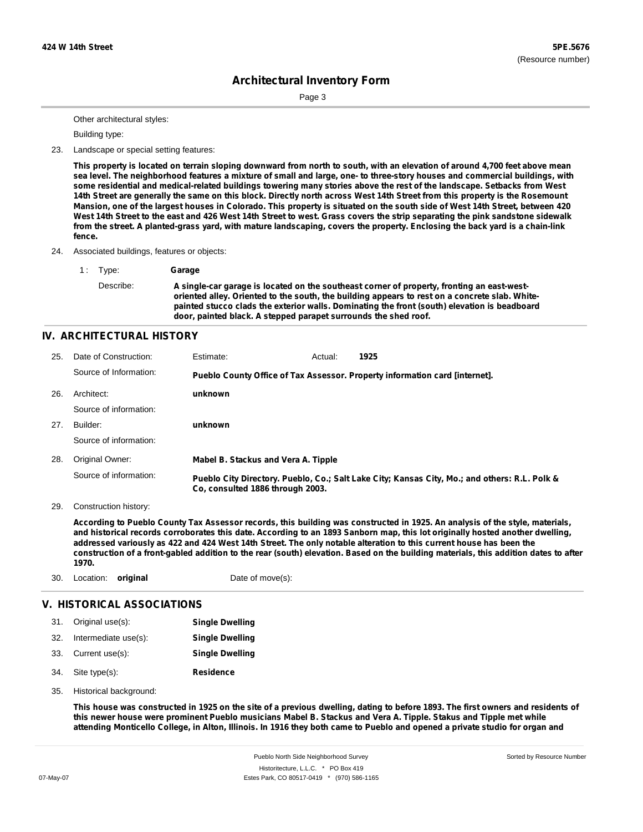Page 3

Other architectural styles:

Building type:

23. Landscape or special setting features:

This property is located on terrain sloping downward from north to south, with an elevation of around 4,700 feet above mean sea level. The neighborhood features a mixture of small and large, one- to three-story houses and commercial buildings, with some residential and medical-related buildings towering many stories above the rest of the landscape. Setbacks from West 14th Street are generally the same on this block. Directly north across West 14th Street from this property is the Rosemount Mansion, one of the largest houses in Colorado. This property is situated on the south side of West 14th Street, between 420 West 14th Street to the east and 426 West 14th Street to west. Grass covers the strip separating the pink sandstone sidewalk from the street. A planted-grass yard, with mature landscaping, covers the property. Enclosing the back yard is a chain-link **fence.**

24. Associated buildings, features or objects:

1 : Type: **Garage** Describe: **A single-car garage is located on the southeast corner of property, fronting an east-westoriented alley. Oriented to the south, the building appears to rest on a concrete slab. Whitepainted stucco clads the exterior walls. Dominating the front (south) elevation is beadboard door, painted black. A stepped parapet surrounds the shed roof.**

### **IV. ARCHITECTURAL HISTORY**

| 25. | Date of Construction:  | Estimate:                           | Actual: | 1925                                                                                          |
|-----|------------------------|-------------------------------------|---------|-----------------------------------------------------------------------------------------------|
|     | Source of Information: |                                     |         | Pueblo County Office of Tax Assessor. Property information card [internet].                   |
| 26. | Architect:             | unknown                             |         |                                                                                               |
|     | Source of information: |                                     |         |                                                                                               |
| 27. | Builder:               | unknown                             |         |                                                                                               |
|     | Source of information: |                                     |         |                                                                                               |
| 28. | Original Owner:        | Mabel B. Stackus and Vera A. Tipple |         |                                                                                               |
|     | Source of information: | Co. consulted 1886 through 2003.    |         | Pueblo City Directory. Pueblo, Co.; Salt Lake City; Kansas City, Mo.; and others: R.L. Polk & |

29. Construction history:

According to Pueblo County Tax Assessor records, this building was constructed in 1925. An analysis of the style, materials, and historical records corroborates this date. According to an 1893 Sanborn map, this lot originally hosted another dwelling, addressed variously as 422 and 424 West 14th Street. The only notable alteration to this current house has been the construction of a front-gabled addition to the rear (south) elevation. Based on the building materials, this addition dates to after **1970.**

30. Location: **original** Date of move(s):

### **V. HISTORICAL ASSOCIATIONS**

| 31. | Original use(s):     | <b>Single Dwelling</b> |
|-----|----------------------|------------------------|
| 32. | Intermediate use(s): | <b>Single Dwelling</b> |

- 33. Current use(s): **Single Dwelling**
- **Residence** Site type(s): 34.
- 35. Historical background:

This house was constructed in 1925 on the site of a previous dwelling, dating to before 1893. The first owners and residents of this newer house were prominent Pueblo musicians Mabel B. Stackus and Vera A. Tipple. Stakus and Tipple met while attending Monticello College, in Alton, Illinois. In 1916 they both came to Pueblo and opened a private studio for organ and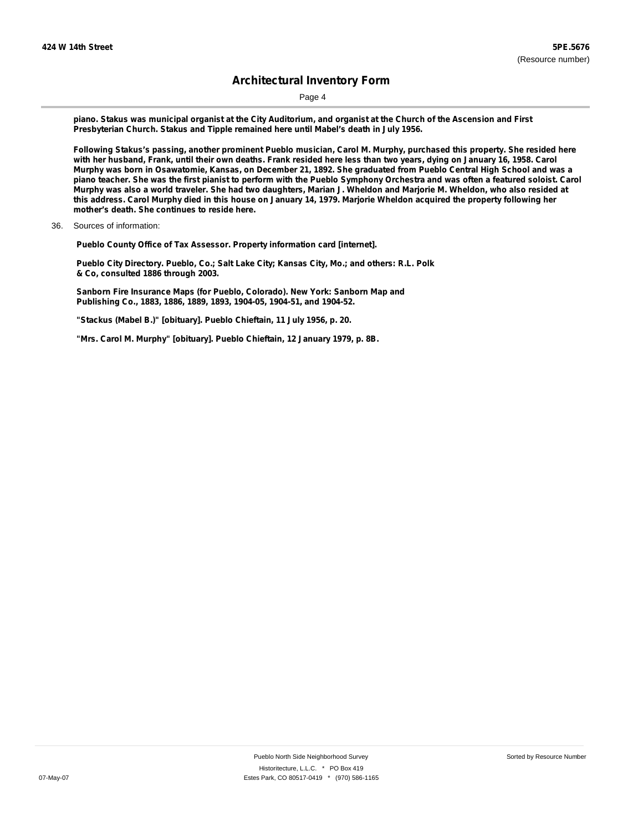Page 4

piano. Stakus was municipal organist at the City Auditorium, and organist at the Church of the Ascension and First **Presbyterian Church. Stakus and Tipple remained here until Mabel's death in July 1956.**

Following Stakus's passing, another prominent Pueblo musician, Carol M. Murphy, purchased this property. She resided here with her husband, Frank, until their own deaths. Frank resided here less than two years, dying on January 16, 1958. Carol Murphy was born in Osawatomie, Kansas, on December 21, 1892. She graduated from Pueblo Central High School and was a piano teacher. She was the first pianist to perform with the Pueblo Symphony Orchestra and was often a featured soloist. Carol Murphy was also a world traveler. She had two daughters, Marian J. Wheldon and Marjorie M. Wheldon, who also resided at this address. Carol Murphy died in this house on January 14, 1979. Marjorie Wheldon acquired the property following her **mother's death. She continues to reside here.**

36. Sources of information:

**Pueblo County Office of Tax Assessor. Property information card [internet].**

**Pueblo City Directory. Pueblo, Co.; Salt Lake City; Kansas City, Mo.; and others: R.L. Polk & Co, consulted 1886 through 2003.**

**Sanborn Fire Insurance Maps (for Pueblo, Colorado). New York: Sanborn Map and Publishing Co., 1883, 1886, 1889, 1893, 1904-05, 1904-51, and 1904-52.**

**"Stackus (Mabel B.)" [obituary]. Pueblo Chieftain, 11 July 1956, p. 20.**

**"Mrs. Carol M. Murphy" [obituary]. Pueblo Chieftain, 12 January 1979, p. 8B.**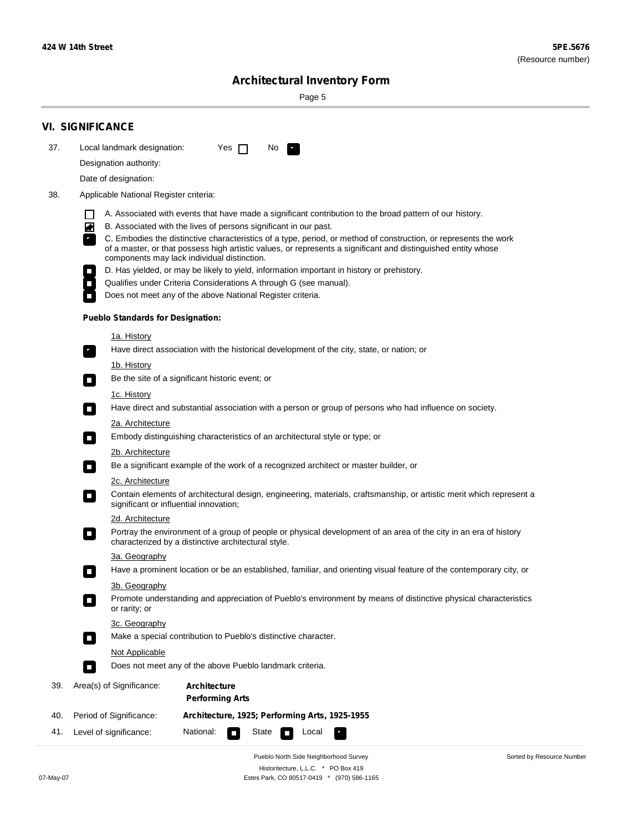Page 5

| 37. | Local landmark designation:<br>Designation authority:                                                                                                               |                                                | Yes $\Box$ |  | No.<br>$\mathcal{F}_\alpha$ |  |  |  |                                                                                                                     |  |
|-----|---------------------------------------------------------------------------------------------------------------------------------------------------------------------|------------------------------------------------|------------|--|-----------------------------|--|--|--|---------------------------------------------------------------------------------------------------------------------|--|
|     | Date of designation:                                                                                                                                                |                                                |            |  |                             |  |  |  |                                                                                                                     |  |
| 38. | Applicable National Register criteria:                                                                                                                              |                                                |            |  |                             |  |  |  |                                                                                                                     |  |
|     |                                                                                                                                                                     |                                                |            |  |                             |  |  |  |                                                                                                                     |  |
|     | $\mathbf{I}$<br>◙<br>B. Associated with the lives of persons significant in our past.                                                                               |                                                |            |  |                             |  |  |  | A. Associated with events that have made a significant contribution to the broad pattern of our history.            |  |
|     |                                                                                                                                                                     |                                                |            |  |                             |  |  |  | C. Embodies the distinctive characteristics of a type, period, or method of construction, or represents the work    |  |
|     | components may lack individual distinction.                                                                                                                         |                                                |            |  |                             |  |  |  | of a master, or that possess high artistic values, or represents a significant and distinguished entity whose       |  |
|     | D. Has yielded, or may be likely to yield, information important in history or prehistory.                                                                          |                                                |            |  |                             |  |  |  |                                                                                                                     |  |
|     | Qualifies under Criteria Considerations A through G (see manual).<br>$\mathcal{L}_{\mathcal{A}}$                                                                    |                                                |            |  |                             |  |  |  |                                                                                                                     |  |
|     | Does not meet any of the above National Register criteria.                                                                                                          |                                                |            |  |                             |  |  |  |                                                                                                                     |  |
|     | <b>Pueblo Standards for Designation:</b>                                                                                                                            |                                                |            |  |                             |  |  |  |                                                                                                                     |  |
|     | 1a. History                                                                                                                                                         |                                                |            |  |                             |  |  |  |                                                                                                                     |  |
|     | Have direct association with the historical development of the city, state, or nation; or<br>$\mathbf{r}_i$                                                         |                                                |            |  |                             |  |  |  |                                                                                                                     |  |
|     | <u>1b. History</u>                                                                                                                                                  |                                                |            |  |                             |  |  |  |                                                                                                                     |  |
|     | Be the site of a significant historic event; or<br>$\Box$                                                                                                           |                                                |            |  |                             |  |  |  |                                                                                                                     |  |
|     | 1c. History                                                                                                                                                         |                                                |            |  |                             |  |  |  |                                                                                                                     |  |
|     | Have direct and substantial association with a person or group of persons who had influence on society.<br>о                                                        |                                                |            |  |                             |  |  |  |                                                                                                                     |  |
|     | <b>2a. Architecture</b><br>Embody distinguishing characteristics of an architectural style or type; or<br>$\Box$                                                    |                                                |            |  |                             |  |  |  |                                                                                                                     |  |
|     | <u> 2b. Architecture</u>                                                                                                                                            |                                                |            |  |                             |  |  |  |                                                                                                                     |  |
|     | Be a significant example of the work of a recognized architect or master builder, or<br>$\Box$                                                                      |                                                |            |  |                             |  |  |  |                                                                                                                     |  |
|     | 2c. Architecture                                                                                                                                                    |                                                |            |  |                             |  |  |  |                                                                                                                     |  |
|     | Contain elements of architectural design, engineering, materials, craftsmanship, or artistic merit which represent a<br>О<br>significant or influential innovation; |                                                |            |  |                             |  |  |  |                                                                                                                     |  |
|     | 2d. Architecture                                                                                                                                                    |                                                |            |  |                             |  |  |  |                                                                                                                     |  |
|     | О<br>characterized by a distinctive architectural style.                                                                                                            |                                                |            |  |                             |  |  |  | Portray the environment of a group of people or physical development of an area of the city in an era of history    |  |
|     | 3a. Geography                                                                                                                                                       |                                                |            |  |                             |  |  |  |                                                                                                                     |  |
|     |                                                                                                                                                                     |                                                |            |  |                             |  |  |  | Have a prominent location or be an established, familiar, and orienting visual feature of the contemporary city, or |  |
|     | 3b. Geography<br>or rarity; or                                                                                                                                      |                                                |            |  |                             |  |  |  | Promote understanding and appreciation of Pueblo's environment by means of distinctive physical characteristics     |  |
|     | 3c. Geography                                                                                                                                                       |                                                |            |  |                             |  |  |  |                                                                                                                     |  |
|     | Make a special contribution to Pueblo's distinctive character.<br>$\Box$                                                                                            |                                                |            |  |                             |  |  |  |                                                                                                                     |  |
|     | <b>Not Applicable</b>                                                                                                                                               |                                                |            |  |                             |  |  |  |                                                                                                                     |  |
|     | Does not meet any of the above Pueblo landmark criteria.<br>п                                                                                                       |                                                |            |  |                             |  |  |  |                                                                                                                     |  |
| 39. | Area(s) of Significance:                                                                                                                                            | <b>Architecture</b><br><b>Performing Arts</b>  |            |  |                             |  |  |  |                                                                                                                     |  |
| 40. | Period of Significance:                                                                                                                                             | Architecture, 1925; Performing Arts, 1925-1955 |            |  |                             |  |  |  |                                                                                                                     |  |
|     |                                                                                                                                                                     |                                                |            |  |                             |  |  |  |                                                                                                                     |  |

Pueblo North Side Neighborhood Survey Historitecture, L.L.C. \* PO Box 419 07-May-07 Estes Park, CO 80517-0419 \* (970) 586-1165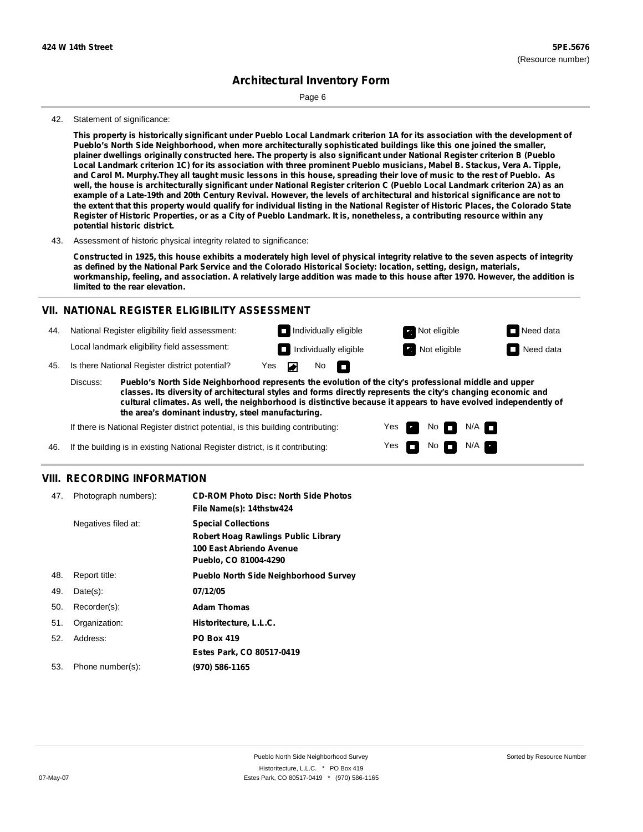Page 6

#### 42. Statement of significance:

This property is historically significant under Pueblo Local Landmark criterion 1A for its association with the development of **Pueblo's North Side Neighborhood, when more architecturally sophisticated buildings like this one joined the smaller,** plainer dwellings originally constructed here. The property is also significant under National Register criterion B (Pueblo Local Landmark criterion 1C) for its association with three prominent Pueblo musicians, Mabel B. Stackus, Vera A. Tipple, and Carol M. Murphy. They all taught music lessons in this house, spreading their love of music to the rest of Pueblo. As well, the house is architecturally significant under National Register criterion C (Pueblo Local Landmark criterion 2A) as an example of a Late-19th and 20th Century Revival. However, the levels of architectural and historical significance are not to the extent that this property would qualify for individual listing in the National Register of Historic Places, the Colorado State Register of Historic Properties, or as a City of Pueblo Landmark. It is, nonetheless, a contributing resource within any **potential historic district.**

43. Assessment of historic physical integrity related to significance:

Constructed in 1925, this house exhibits a moderately high level of physical integrity relative to the seven aspects of integrity as defined by the National Park Service and the Colorado Historical Society: location, setting, design, materials, workmanship, feeling, and association. A relatively large addition was made to this house after 1970. However, the addition is **limited to the rear elevation.**

### **VII. NATIONAL REGISTER ELIGIBILITY ASSESSMENT**

44. National Register eligibility field assessment:

Local landmark eligibility field assessment:

45. Is there National Register district potential? Yes

**Pueblo's North Side Neighborhood represents the evolution of the city's professional middle and upper classes. Its diversity of architectural styles and forms directly represents the city's changing economic and cultural climates. As well, the neighborhood is distinctive because it appears to have evolved independently of the area's dominant industry, steel manufacturing.** Discuss:

◚

No<sub>D</sub>

Yes Yes No

**Individually eligible Not eligible** Not eligible **Need data Individually eligible Not eligible** Not eligible **Need data** 

 $No$   $N/A$   $n$ 

 $N/A$ 

If there is National Register district potential, is this building contributing:

If the building is in existing National Register district, is it contributing: 46.

### **VIII. RECORDING INFORMATION**

| 47. | Photograph numbers): | <b>CD-ROM Photo Disc: North Side Photos</b><br>File Name(s): 14thstw424                                                |
|-----|----------------------|------------------------------------------------------------------------------------------------------------------------|
|     | Negatives filed at:  | <b>Special Collections</b><br>Robert Hoag Rawlings Public Library<br>100 East Abriendo Avenue<br>Pueblo, CO 81004-4290 |
| 48. | Report title:        | <b>Pueblo North Side Neighborhood Survey</b>                                                                           |
| 49. | $Date(s)$ :          | 07/12/05                                                                                                               |
| 50. | Recorder(s):         | <b>Adam Thomas</b>                                                                                                     |
| 51. | Organization:        | Historitecture, L.L.C.                                                                                                 |
| 52. | Address:             | <b>PO Box 419</b>                                                                                                      |
|     |                      | Estes Park, CO 80517-0419                                                                                              |
| 53. | Phone number(s):     | (970) 586-1165                                                                                                         |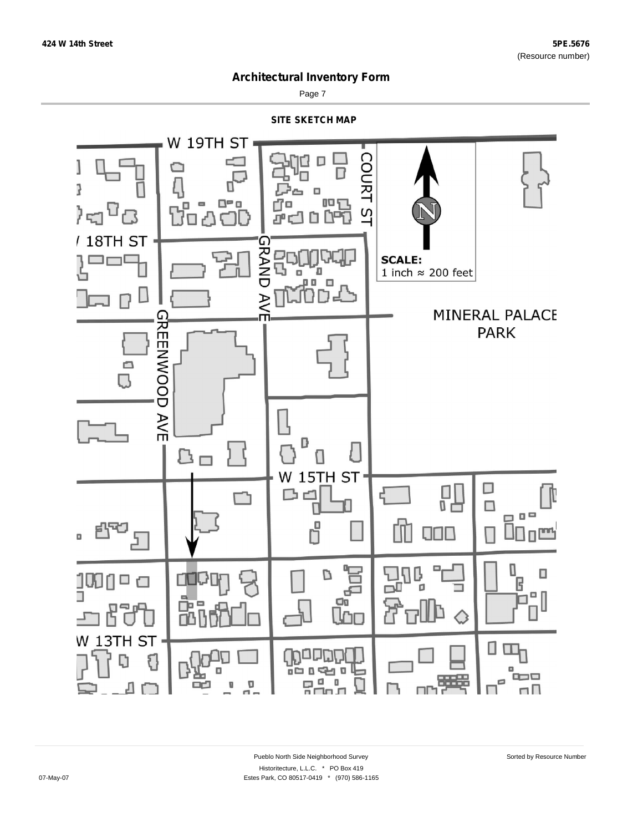

Page 7